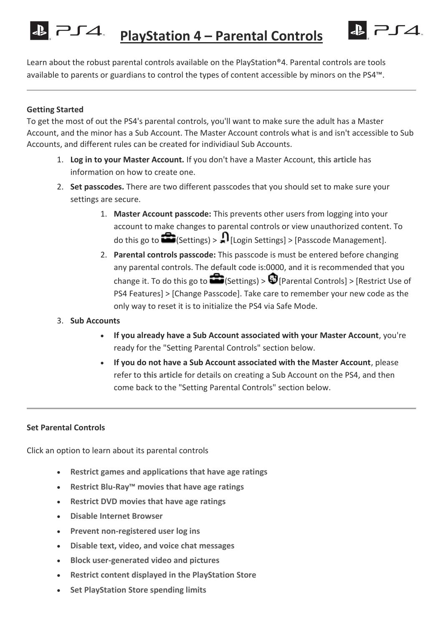**PlayStation 4 – Parental Controls**

& 254

Learn about the robust parental controls available on the PlayStation®4. Parental controls are tools available to parents or guardians to control the types of content accessible by minors on the PS4™.

## **Getting Started**

 $PJ4$ 

To get the most of out the PS4's parental controls, you'll want to make sure the adult has a Master Account, and the minor has a Sub Account. The Master Account controls what is and isn't accessible to Sub Accounts, and different rules can be created for individiaul Sub Accounts.

- 1. **Log in to your Master Account.** If you don't have a Master Account, **[this article](https://support.us.playstation.com/app/answers/detail/a_id/5079/session/L2F2LzEvdGltZS8xMzk1Njc2ODc2L3NpZC83RzhRbjJRbA%3D%3D)** has information on how to create one.
- 2. **Set passcodes.** There are two different passcodes that you should set to make sure your settings are secure.
	- 1. **Master Account passcode:** This prevents other users from logging into your account to make changes to parental controls or view unauthorized content. To do this go to  $\bigotimes$  (Settings) >  $\bigcap$  [Login Settings] > [Passcode Management].
	- 2. **Parental controls passcode:** This passcode is must be entered before changing any parental controls. The default code is:0000, and it is recommended that you change it. To do this go to  $\bigotimes$  (Settings) >  $\bigcirc$  [Parental Controls] > [Restrict Use of PS4 Features] > [Change Passcode]. Take care to remember your new code as the only way to reset it is to initialize the PS4 via Safe Mode.
- 3. **Sub Accounts**
	- **If you already have a Sub Account associated with your Master Account**, you're ready for the "Setting Parental Controls" section below.
	- **If you do not have a Sub Account associated with the Master Account**, please refer to **[this article](https://support.us.playstation.com/app/answers/detail/a_id/5098/session/L2F2LzEvdGltZS8xMzk1Njc2ODc2L3NpZC83RzhRbjJRbA%3D%3D)** for details on creating a Sub Account on the PS4, and then come back to the "Setting Parental Controls" section below.

# **Set Parental Controls**

Click an option to learn about its parental controls

- **[Restrict games and applications that have age ratings](https://support.us.playstation.com/app/answers/detail/a_id/5097/~/ps4-parental-controls#1)**
- **Restrict Blu-[Ray™ movies that have age ratings](https://support.us.playstation.com/app/answers/detail/a_id/5097/~/ps4-parental-controls#1.5)**
- **[Restrict DVD movies that have age ratings](https://support.us.playstation.com/app/answers/detail/a_id/5097/~/ps4-parental-controls#1.75)**
- **[Disable Internet Browser](https://support.us.playstation.com/app/answers/detail/a_id/5097/~/ps4-parental-controls#3)**
- **[Prevent non-registered user log ins](https://support.us.playstation.com/app/answers/detail/a_id/5097/~/ps4-parental-controls#4)**
- **[Disable text, video, and voice chat messages](https://support.us.playstation.com/app/answers/detail/a_id/5097/~/ps4-parental-controls#5)**
- **[Block user-generated video and pictures](https://support.us.playstation.com/app/answers/detail/a_id/5097/~/ps4-parental-controls#6)**
- **[Restrict content displayed in the PlayStation Store](https://support.us.playstation.com/app/answers/detail/a_id/5097/~/ps4-parental-controls#7)**
- **[Set PlayStation Store spending limits](https://support.us.playstation.com/app/answers/detail/a_id/5097/~/ps4-parental-controls#8)**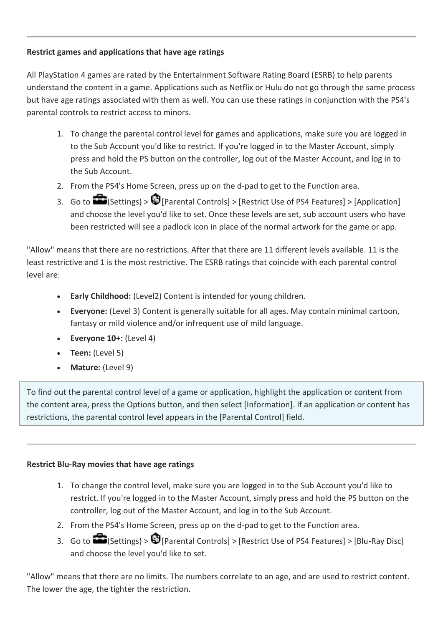# **Restrict games and applications that have age ratings**

All PlayStation 4 games are rated by the Entertainment Software Rating Board (ESRB) to help parents understand the content in a game. Applications such as Netflix or Hulu do not go through the same process but have age ratings associated with them as well. You can use these ratings in conjunction with the PS4's parental controls to restrict access to minors.

- 1. To change the parental control level for games and applications, make sure you are logged in to the Sub Account you'd like to restrict. If you're logged in to the Master Account, simply press and hold the PS button on the controller, log out of the Master Account, and log in to the Sub Account.
- 2. From the PS4's Home Screen, press up on the d-pad to get to the Function area.
- 3. Go to  $\bigcirc$  (Settings) >  $\bigcirc$  [Parental Controls] > [Restrict Use of PS4 Features] > [Application] and choose the level you'd like to set. Once these levels are set, sub account users who have been restricted will see a padlock icon in place of the normal artwork for the game or app.

"Allow" means that there are no restrictions. After that there are 11 different levels available. 11 is the least restrictive and 1 is the most restrictive. The ESRB ratings that coincide with each parental control level are:

- **Early Childhood:** (Level2) Content is intended for young children.
- **Everyone:** (Level 3) Content is generally suitable for all ages. May contain minimal cartoon, fantasy or mild violence and/or infrequent use of mild language.
- **Everyone 10+:** (Level 4)
- **Teen:** (Level 5)
- **Mature:** (Level 9)

To find out the parental control level of a game or application, highlight the application or content from the content area, press the Options button, and then select [Information]. If an application or content has restrictions, the parental control level appears in the [Parental Control] field.

# **Restrict Blu-Ray movies that have age ratings**

- 1. To change the control level, make sure you are logged in to the Sub Account you'd like to restrict. If you're logged in to the Master Account, simply press and hold the PS button on the controller, log out of the Master Account, and log in to the Sub Account.
- 2. From the PS4's Home Screen, press up on the d-pad to get to the Function area.
- 3. Go to  $\bigotimes$  (Settings) >  $\bigcirc$  [Parental Controls] > [Restrict Use of PS4 Features] > [Blu-Ray Disc] and choose the level you'd like to set.

"Allow" means that there are no limits. The numbers correlate to an age, and are used to restrict content. The lower the age, the tighter the restriction.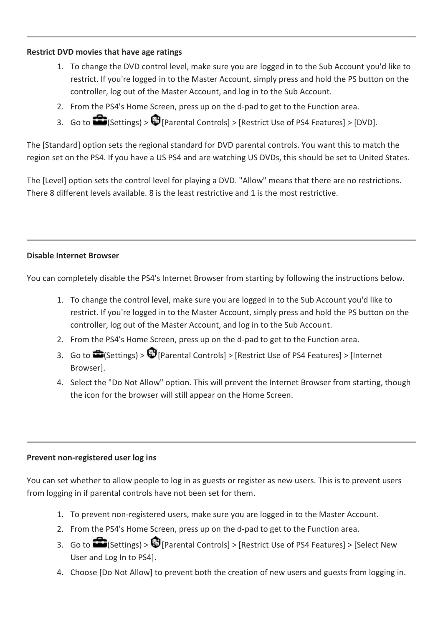### **Restrict DVD movies that have age ratings**

- 1. To change the DVD control level, make sure you are logged in to the Sub Account you'd like to restrict. If you're logged in to the Master Account, simply press and hold the PS button on the controller, log out of the Master Account, and log in to the Sub Account.
- 2. From the PS4's Home Screen, press up on the d-pad to get to the Function area.
- 3. Go to  $\bigcirc$  (Settings) >  $\bigcirc$  [Parental Controls] > [Restrict Use of PS4 Features] > [DVD].

The [Standard] option sets the regional standard for DVD parental controls. You want this to match the region set on the PS4. If you have a US PS4 and are watching US DVDs, this should be set to United States.

The [Level] option sets the control level for playing a DVD. "Allow" means that there are no restrictions. There 8 different levels available. 8 is the least restrictive and 1 is the most restrictive.

## **Disable Internet Browser**

You can completely disable the PS4's Internet Browser from starting by following the instructions below.

- 1. To change the control level, make sure you are logged in to the Sub Account you'd like to restrict. If you're logged in to the Master Account, simply press and hold the PS button on the controller, log out of the Master Account, and log in to the Sub Account.
- 2. From the PS4's Home Screen, press up on the d-pad to get to the Function area.
- 3. Go to  $\bigoplus$  (Settings) >  $\bigoplus$  [Parental Controls] > [Restrict Use of PS4 Features] > [Internet] Browser].
- 4. Select the "Do Not Allow" option. This will prevent the Internet Browser from starting, though the icon for the browser will still appear on the Home Screen.

### **Prevent non-registered user log ins**

You can set whether to allow people to log in as guests or register as new users. This is to prevent users from logging in if parental controls have not been set for them.

- 1. To prevent non-registered users, make sure you are logged in to the Master Account.
- 2. From the PS4's Home Screen, press up on the d-pad to get to the Function area.
- 3. Go to  $\bigotimes$  (Settings) >  $\bigcirc$  [Parental Controls] > [Restrict Use of PS4 Features] > [Select New User and Log In to PS4].
- 4. Choose [Do Not Allow] to prevent both the creation of new users and guests from logging in.